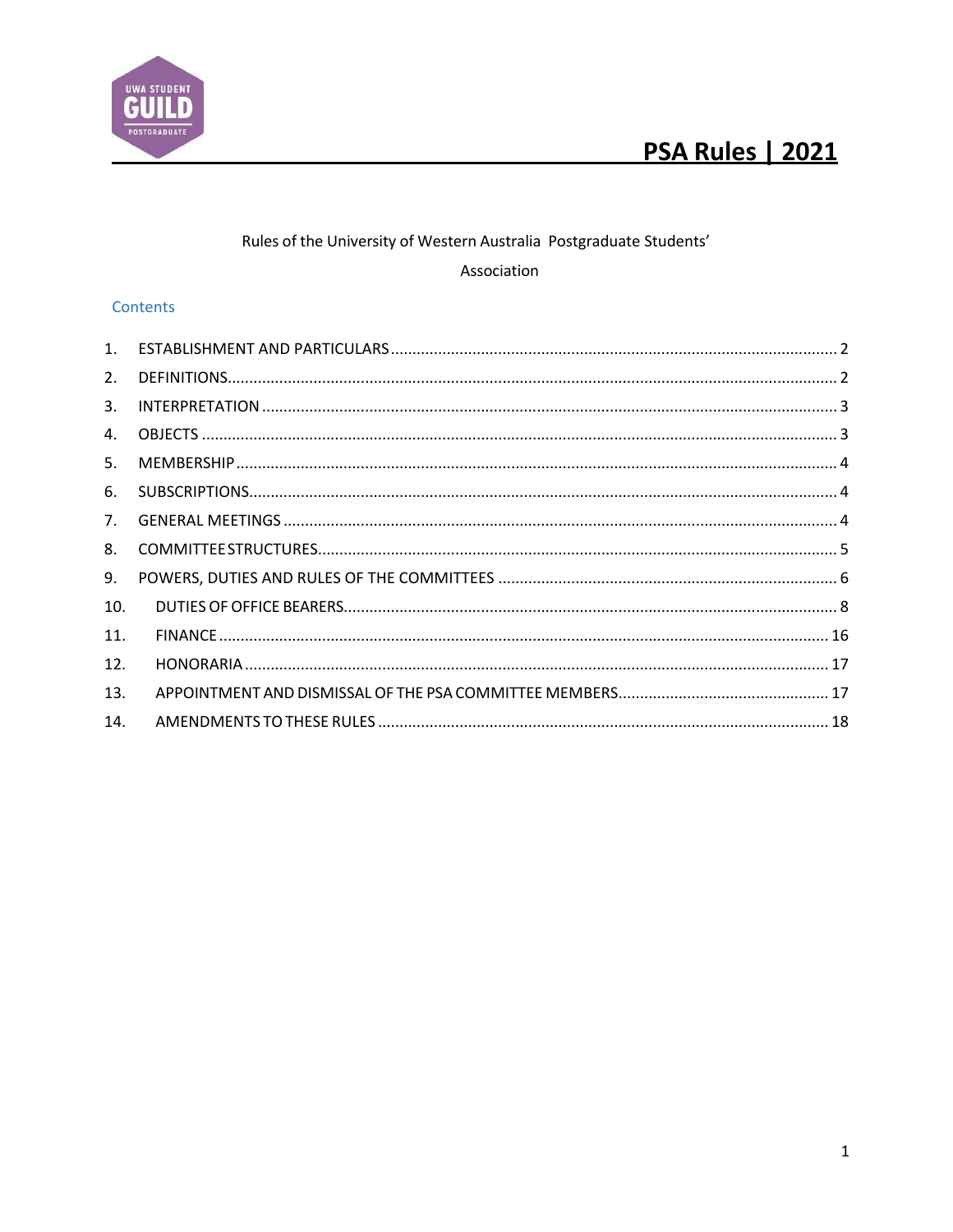

# UWA STUDENT POSTGRADUAT

### Rules of the University of Western Australia Postgraduate Students'

### Association

### Contents

| 1.             |  |
|----------------|--|
| 2.             |  |
| 3.             |  |
| 4.             |  |
| 5.             |  |
| 6.             |  |
| 7 <sub>1</sub> |  |
| 8.             |  |
| 9.             |  |
| 10.            |  |
| 11.            |  |
| 12.            |  |
| 13.            |  |
| 14.            |  |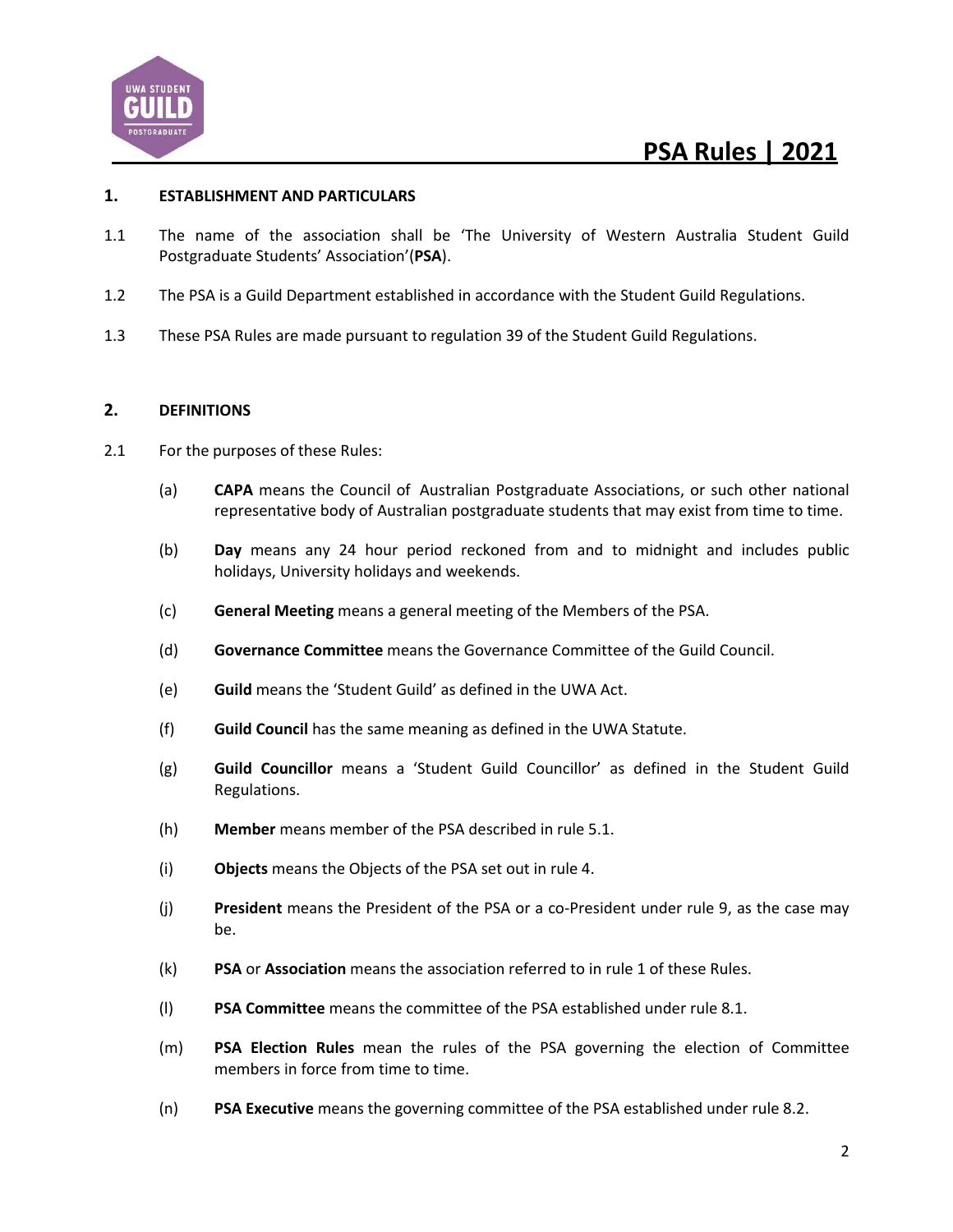

#### **1. ESTABLISHMENT AND PARTICULARS**

- 1.1 The name of the association shall be 'The University of Western Australia Student Guild Postgraduate Students' Association'(**PSA**).
- 1.2 The PSA is a Guild Department established in accordance with the Student Guild Regulations.
- 1.3 These PSA Rules are made pursuant to regulation 39 of the Student Guild Regulations.

#### **2. DEFINITIONS**

- 2.1 For the purposes of these Rules:
	- (a) **CAPA** means the Council of Australian Postgraduate Associations, or such other national representative body of Australian postgraduate students that may exist from time to time.
	- (b) **Day** means any 24 hour period reckoned from and to midnight and includes public holidays, University holidays and weekends.
	- (c) **General Meeting** means a general meeting of the Members of the PSA.
	- (d) **Governance Committee** means the Governance Committee of the Guild Council.
	- (e) **Guild** means the 'Student Guild' as defined in the UWA Act.
	- (f) **Guild Council** has the same meaning as defined in the UWA Statute.
	- (g) **Guild Councillor** means a 'Student Guild Councillor' as defined in the Student Guild Regulations.
	- (h) **Member** means member of the PSA described in rule 5.1.
	- (i) **Objects** means the Objects of the PSA set out in rule 4.
	- (j) **President** means the President of the PSA or a co-President under rule 9, as the case may be.
	- (k) **PSA** or **Association** means the association referred to in rule 1 of these Rules.
	- (l) **PSA Committee** means the committee of the PSA established under rule 8.1.
	- (m) **PSA Election Rules** mean the rules of the PSA governing the election of Committee members in force from time to time.
	- (n) **PSA Executive** means the governing committee of the PSA established under rule 8.2.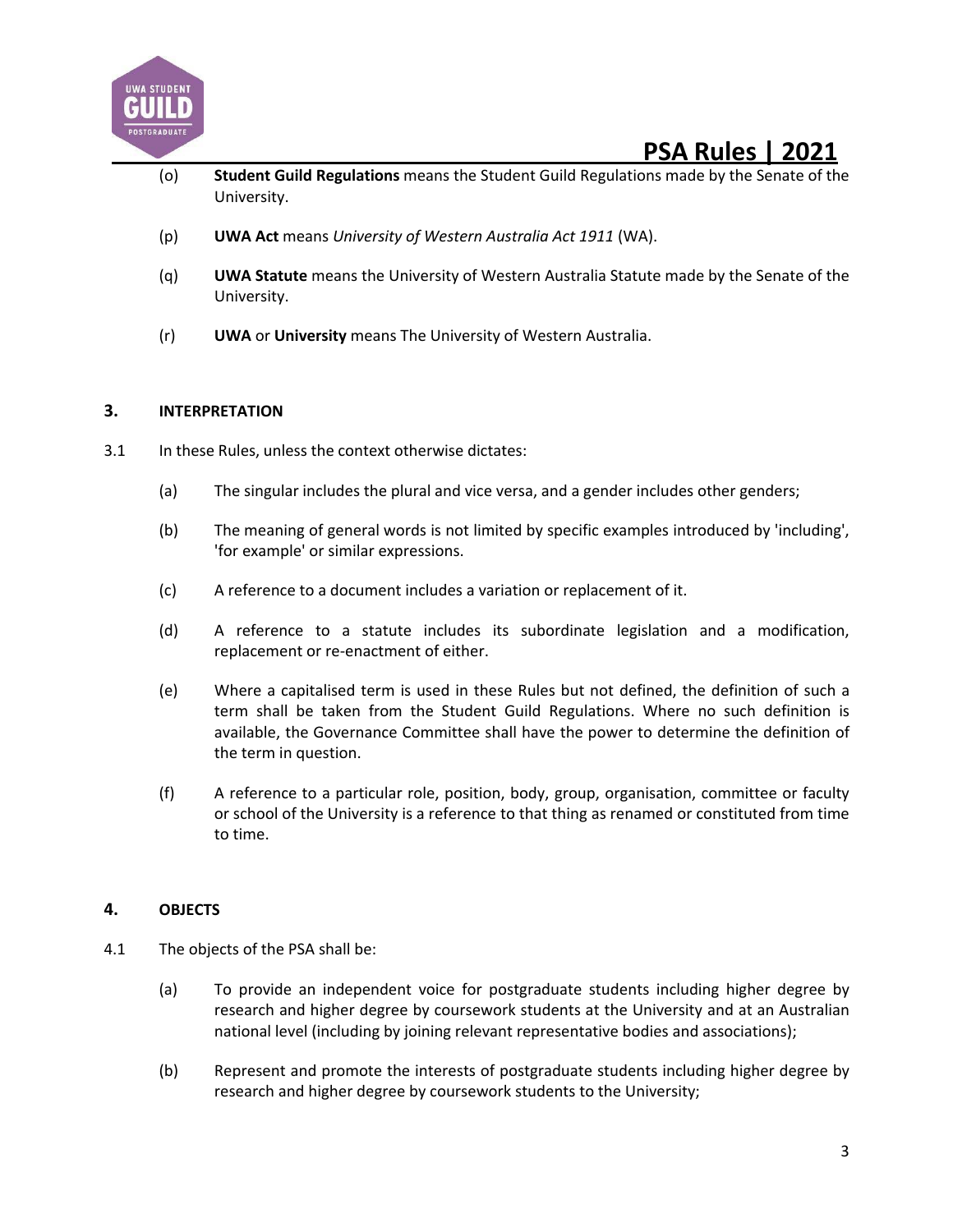

- (o) **Student Guild Regulations** means the Student Guild Regulations made by the Senate of the University.
- (p) **UWA Act** means *University of Western Australia Act 1911* (WA).
- (q) **UWA Statute** means the University of Western Australia Statute made by the Senate of the University.
- (r) **UWA** or **University** means The University of Western Australia.

#### **3. INTERPRETATION**

- 3.1 In these Rules, unless the context otherwise dictates:
	- (a) The singular includes the plural and vice versa, and a gender includes other genders;
	- (b) The meaning of general words is not limited by specific examples introduced by 'including', 'for example' or similar expressions.
	- (c) A reference to a document includes a variation or replacement of it.
	- (d) A reference to a statute includes its subordinate legislation and a modification, replacement or re-enactment of either.
	- (e) Where a capitalised term is used in these Rules but not defined, the definition of such a term shall be taken from the Student Guild Regulations. Where no such definition is available, the Governance Committee shall have the power to determine the definition of the term in question.
	- (f) A reference to a particular role, position, body, group, organisation, committee or faculty or school of the University is a reference to that thing as renamed or constituted from time to time.

### **4. OBJECTS**

- 4.1 The objects of the PSA shall be:
	- (a) To provide an independent voice for postgraduate students including higher degree by research and higher degree by coursework students at the University and at an Australian national level (including by joining relevant representative bodies and associations);
	- (b) Represent and promote the interests of postgraduate students including higher degree by research and higher degree by coursework students to the University;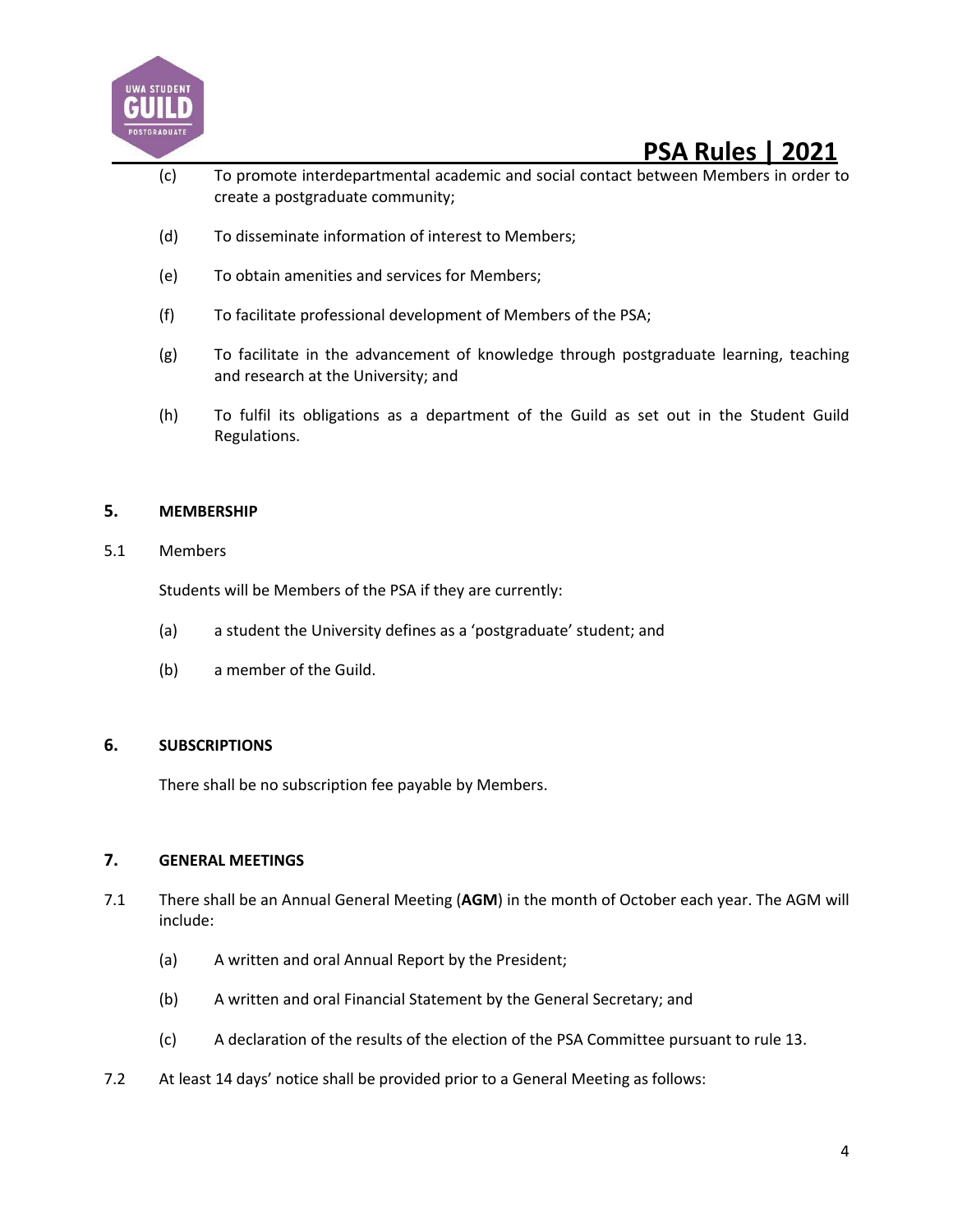![](_page_3_Picture_0.jpeg)

- (c) To promote interdepartmental academic and social contact between Members in order to create a postgraduate community;
- (d) To disseminate information of interest to Members;
- (e) To obtain amenities and services for Members;
- (f) To facilitate professional development of Members of the PSA;
- (g) To facilitate in the advancement of knowledge through postgraduate learning, teaching and research at the University; and
- (h) To fulfil its obligations as a department of the Guild as set out in the Student Guild Regulations.

#### **5. MEMBERSHIP**

5.1 Members

Students will be Members of the PSA if they are currently:

- (a) a student the University defines as a 'postgraduate' student; and
- (b) a member of the Guild.

#### **6. SUBSCRIPTIONS**

There shall be no subscription fee payable by Members.

#### **7. GENERAL MEETINGS**

- 7.1 There shall be an Annual General Meeting (**AGM**) in the month of October each year. The AGM will include:
	- (a) A written and oral Annual Report by the President;
	- (b) A written and oral Financial Statement by the General Secretary; and
	- (c) A declaration of the results of the election of the PSA Committee pursuant to rule 13.
- 7.2 At least 14 days' notice shall be provided prior to a General Meeting as follows: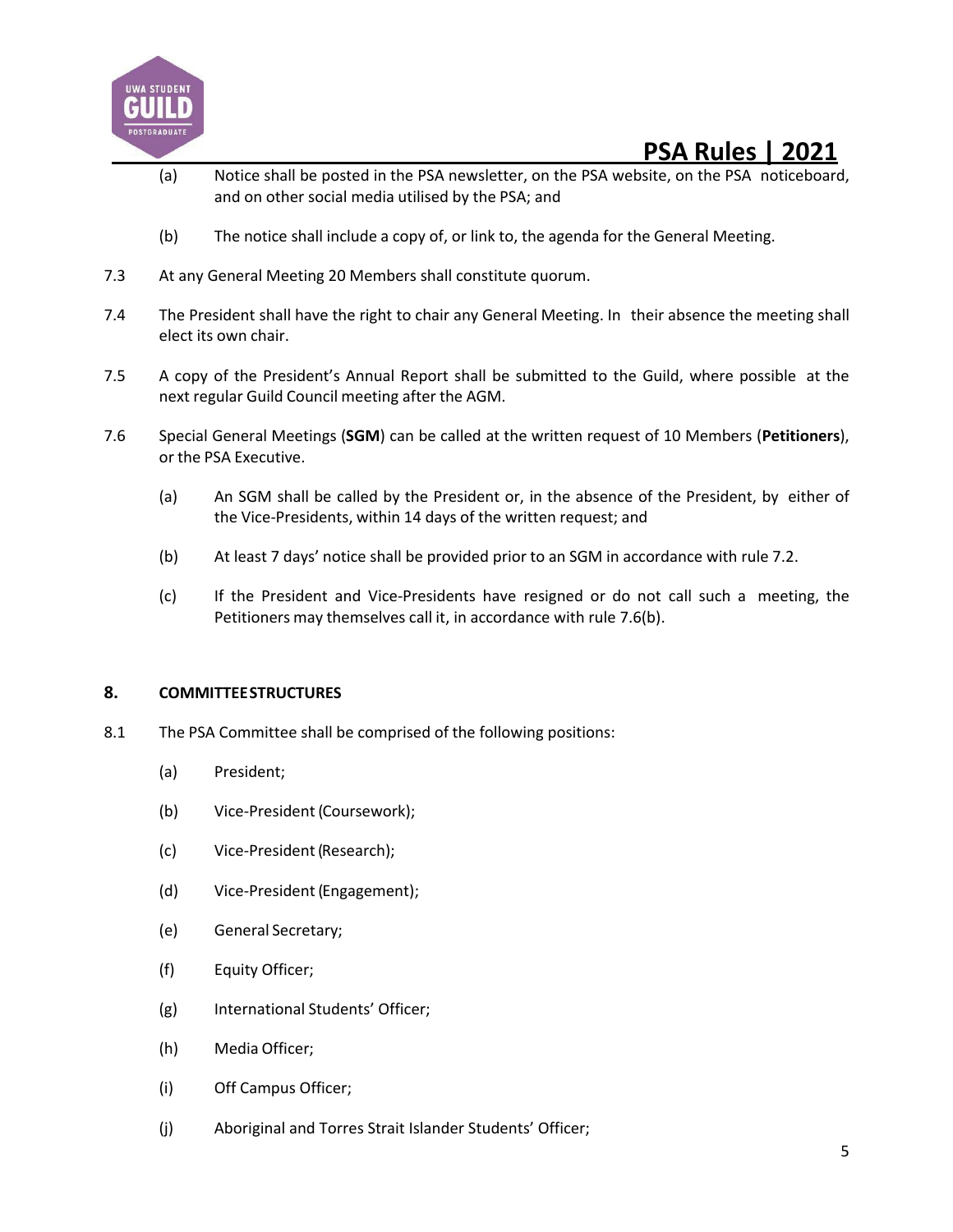![](_page_4_Picture_0.jpeg)

- (a) Notice shall be posted in the PSA newsletter, on the PSA website, on the PSA noticeboard, and on other social media utilised by the PSA; and
- (b) The notice shall include a copy of, or link to, the agenda for the General Meeting.
- 7.3 At any General Meeting 20 Members shall constitute quorum.
- 7.4 The President shall have the right to chair any General Meeting. In their absence the meeting shall elect its own chair.
- 7.5 A copy of the President's Annual Report shall be submitted to the Guild, where possible at the next regular Guild Council meeting after the AGM.
- 7.6 Special General Meetings (**SGM**) can be called at the written request of 10 Members (**Petitioners**), or the PSA Executive.
	- (a) An SGM shall be called by the President or, in the absence of the President, by either of the Vice-Presidents, within 14 days of the written request; and
	- (b) At least 7 days' notice shall be provided prior to an SGM in accordance with rule 7.2.
	- (c) If the President and Vice-Presidents have resigned or do not call such a meeting, the Petitioners may themselves call it, in accordance with rule 7.6(b).

#### **8. COMMITTEESTRUCTURES**

- 8.1 The PSA Committee shall be comprised of the following positions:
	- (a) President;
	- (b) Vice-President (Coursework);
	- (c) Vice-President(Research);
	- (d) Vice-President(Engagement);
	- (e) General Secretary;
	- (f) Equity Officer;
	- (g) International Students' Officer;
	- (h) Media Officer;
	- (i) Off Campus Officer;
	- (j) Aboriginal and Torres Strait Islander Students' Officer;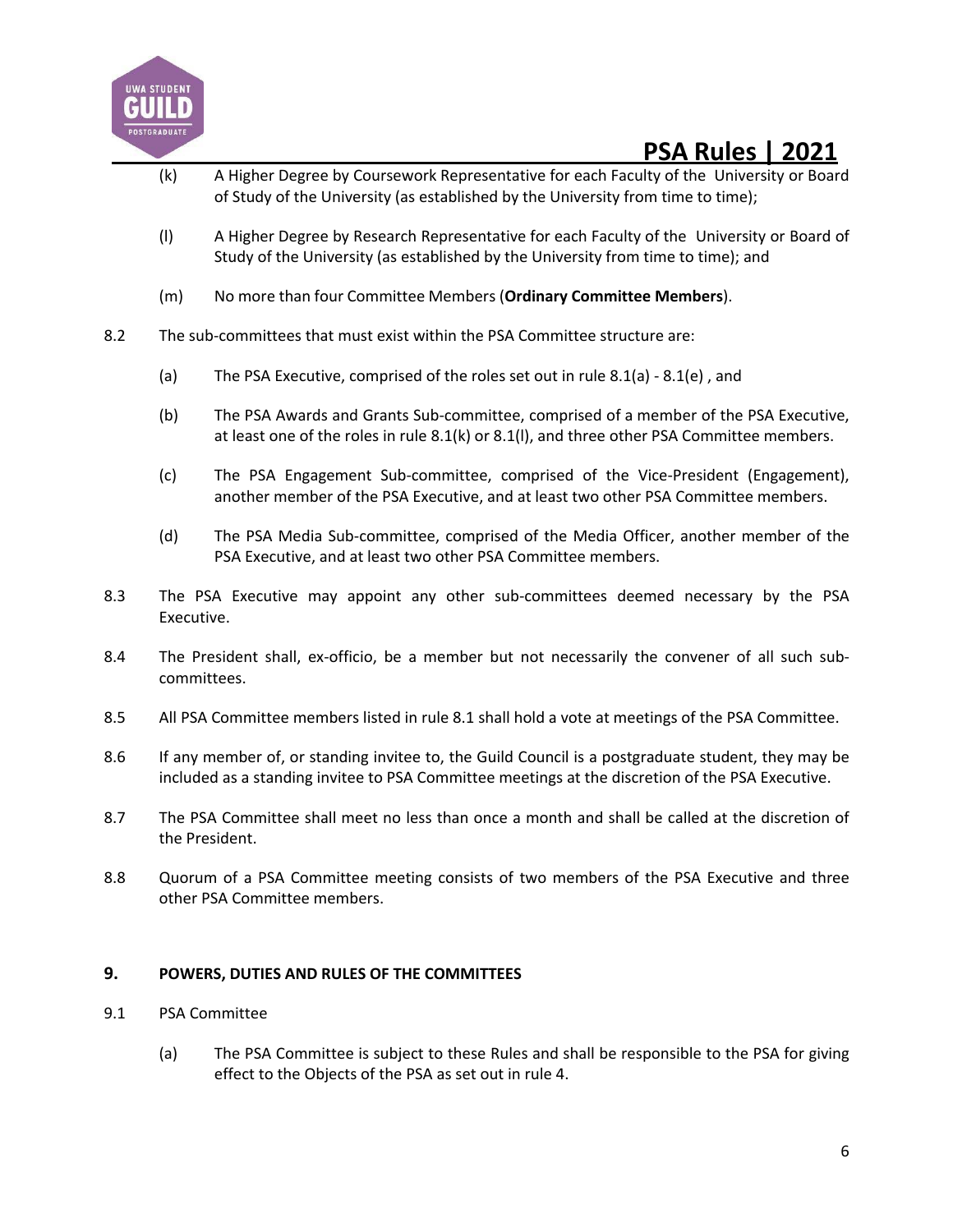![](_page_5_Picture_0.jpeg)

- (k) A Higher Degree by Coursework Representative for each Faculty of the University or Board of Study of the University (as established by the University from time to time);
- (l) A Higher Degree by Research Representative for each Faculty of the University or Board of Study of the University (as established by the University from time to time); and
- (m) No more than four Committee Members (**Ordinary Committee Members**).
- 8.2 The sub-committees that must exist within the PSA Committee structure are:
	- (a) The PSA Executive, comprised of the roles set out in rule 8.1(a) 8.1(e) , and
	- (b) The PSA Awards and Grants Sub-committee, comprised of a member of the PSA Executive, at least one of the roles in rule 8.1(k) or 8.1(l), and three other PSA Committee members.
	- (c) The PSA Engagement Sub-committee, comprised of the Vice-President (Engagement), another member of the PSA Executive, and at least two other PSA Committee members.
	- (d) The PSA Media Sub-committee, comprised of the Media Officer, another member of the PSA Executive, and at least two other PSA Committee members.
- 8.3 The PSA Executive may appoint any other sub-committees deemed necessary by the PSA Executive.
- 8.4 The President shall, ex-officio, be a member but not necessarily the convener of all such subcommittees.
- 8.5 All PSA Committee members listed in rule 8.1 shall hold a vote at meetings of the PSA Committee.
- 8.6 If any member of, or standing invitee to, the Guild Council is a postgraduate student, they may be included as a standing invitee to PSA Committee meetings at the discretion of the PSA Executive.
- 8.7 The PSA Committee shall meet no less than once a month and shall be called at the discretion of the President.
- 8.8 Quorum of a PSA Committee meeting consists of two members of the PSA Executive and three other PSA Committee members.

#### **9. POWERS, DUTIES AND RULES OF THE COMMITTEES**

- 9.1 PSA Committee
	- (a) The PSA Committee is subject to these Rules and shall be responsible to the PSA for giving effect to the Objects of the PSA as set out in rule 4.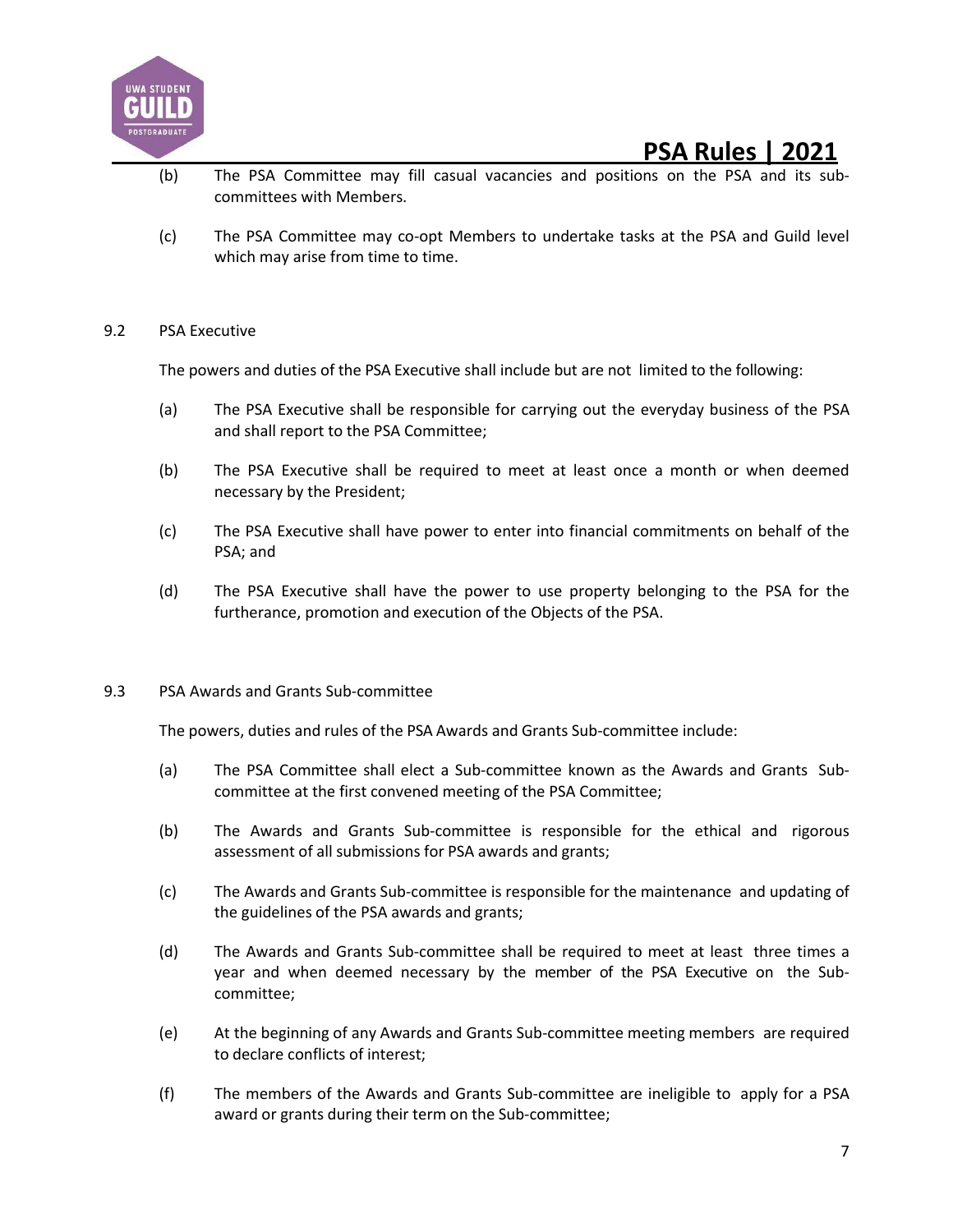![](_page_6_Picture_0.jpeg)

- (b) The PSA Committee may fill casual vacancies and positions on the PSA and its subcommittees with Members.
- (c) The PSA Committee may co-opt Members to undertake tasks at the PSA and Guild level which may arise from time to time.

#### 9.2 PSA Executive

The powers and duties of the PSA Executive shall include but are not limited to the following:

- (a) The PSA Executive shall be responsible for carrying out the everyday business of the PSA and shall report to the PSA Committee;
- (b) The PSA Executive shall be required to meet at least once a month or when deemed necessary by the President;
- (c) The PSA Executive shall have power to enter into financial commitments on behalf of the PSA; and
- (d) The PSA Executive shall have the power to use property belonging to the PSA for the furtherance, promotion and execution of the Objects of the PSA.

#### 9.3 PSA Awards and Grants Sub-committee

The powers, duties and rules of the PSA Awards and Grants Sub-committee include:

- (a) The PSA Committee shall elect a Sub-committee known as the Awards and Grants Subcommittee at the first convened meeting of the PSA Committee;
- (b) The Awards and Grants Sub-committee is responsible for the ethical and rigorous assessment of all submissions for PSA awards and grants;
- (c) The Awards and Grants Sub-committee is responsible for the maintenance and updating of the guidelines of the PSA awards and grants;
- (d) The Awards and Grants Sub-committee shall be required to meet at least three times a year and when deemed necessary by the member of the PSA Executive on the Subcommittee;
- (e) At the beginning of any Awards and Grants Sub-committee meeting members are required to declare conflicts of interest;
- (f) The members of the Awards and Grants Sub-committee are ineligible to apply for a PSA award or grants during their term on the Sub-committee;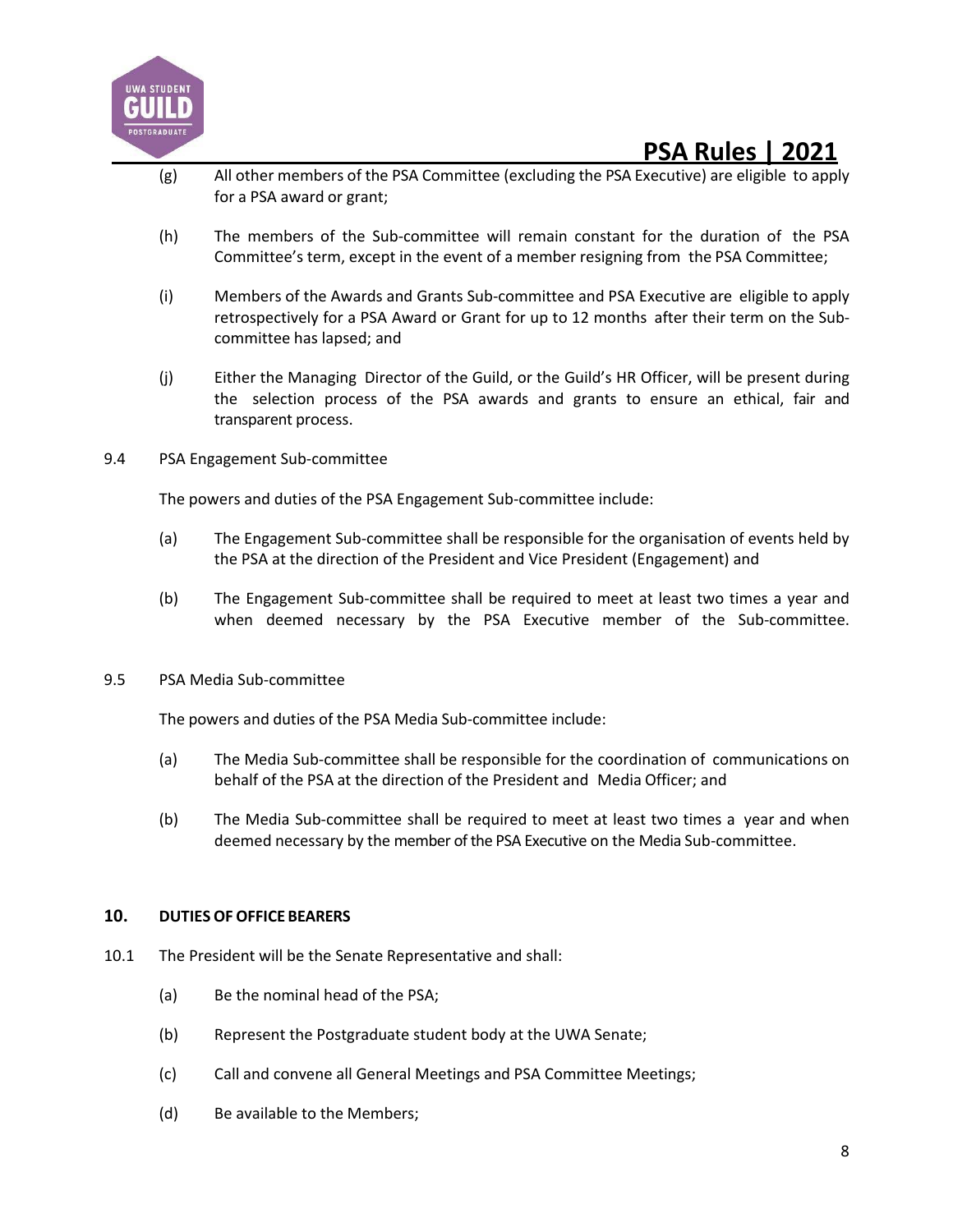![](_page_7_Picture_0.jpeg)

- (g) All other members of the PSA Committee (excluding the PSA Executive) are eligible to apply for a PSA award or grant;
- (h) The members of the Sub-committee will remain constant for the duration of the PSA Committee's term, except in the event of a member resigning from the PSA Committee;
- (i) Members of the Awards and Grants Sub-committee and PSA Executive are eligible to apply retrospectively for a PSA Award or Grant for up to 12 months after their term on the Subcommittee has lapsed; and
- (j) Either the Managing Director of the Guild, or the Guild's HR Officer, will be present during the selection process of the PSA awards and grants to ensure an ethical, fair and transparent process.
- 9.4 PSA Engagement Sub-committee

The powers and duties of the PSA Engagement Sub-committee include:

- (a) The Engagement Sub-committee shall be responsible for the organisation of events held by the PSA at the direction of the President and Vice President (Engagement) and
- (b) The Engagement Sub-committee shall be required to meet at least two times a year and when deemed necessary by the PSA Executive member of the Sub-committee.
- 9.5 PSA Media Sub-committee

The powers and duties of the PSA Media Sub-committee include:

- (a) The Media Sub-committee shall be responsible for the coordination of communications on behalf of the PSA at the direction of the President and Media Officer; and
- (b) The Media Sub-committee shall be required to meet at least two times a year and when deemed necessary by the member of the PSA Executive on the Media Sub-committee.

#### **10. DUTIESOF OFFICE BEARERS**

- 10.1 The President will be the Senate Representative and shall:
	- (a) Be the nominal head of the PSA;
	- (b) Represent the Postgraduate student body at the UWA Senate;
	- (c) Call and convene all General Meetings and PSA Committee Meetings;
	- (d) Be available to the Members;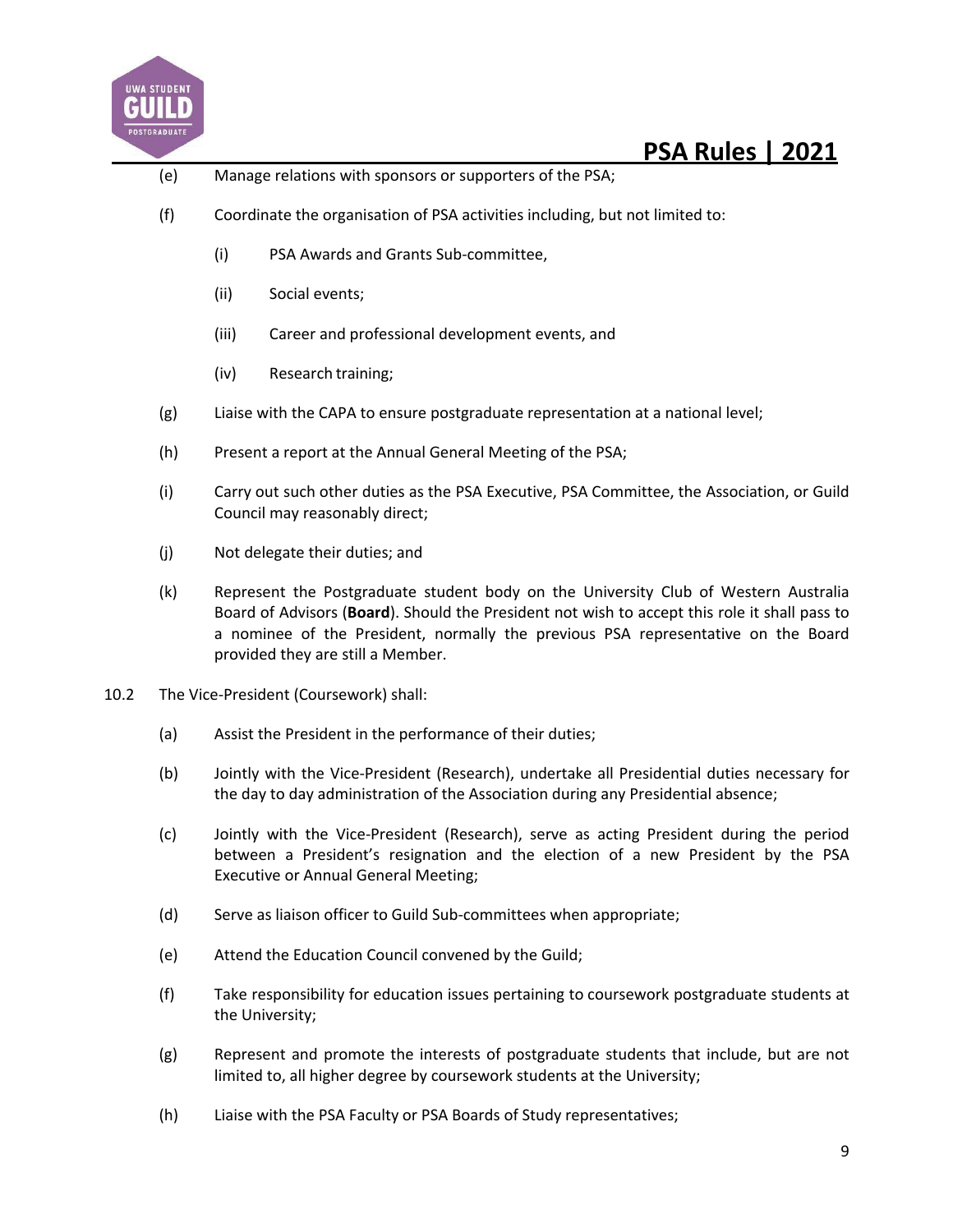![](_page_8_Picture_0.jpeg)

- (e) Manage relations with sponsors or supporters of the PSA;
- (f) Coordinate the organisation of PSA activities including, but not limited to:
	- (i) PSA Awards and Grants Sub-committee,
	- (ii) Social events;
	- (iii) Career and professional development events, and
	- (iv) Research training;
- (g) Liaise with the CAPA to ensure postgraduate representation at a national level;
- (h) Present a report at the Annual General Meeting of the PSA;
- (i) Carry out such other duties as the PSA Executive, PSA Committee, the Association, or Guild Council may reasonably direct;
- (j) Not delegate their duties; and
- (k) Represent the Postgraduate student body on the University Club of Western Australia Board of Advisors (**Board**). Should the President not wish to accept this role it shall pass to a nominee of the President, normally the previous PSA representative on the Board provided they are still a Member.
- 10.2 The Vice-President (Coursework) shall:
	- (a) Assist the President in the performance of their duties;
	- (b) Jointly with the Vice-President (Research), undertake all Presidential duties necessary for the day to day administration of the Association during any Presidential absence;
	- (c) Jointly with the Vice-President (Research), serve as acting President during the period between a President's resignation and the election of a new President by the PSA Executive or Annual General Meeting;
	- (d) Serve as liaison officer to Guild Sub-committees when appropriate;
	- (e) Attend the Education Council convened by the Guild;
	- (f) Take responsibility for education issues pertaining to coursework postgraduate students at the University;
	- (g) Represent and promote the interests of postgraduate students that include, but are not limited to, all higher degree by coursework students at the University;
	- (h) Liaise with the PSA Faculty or PSA Boards of Study representatives;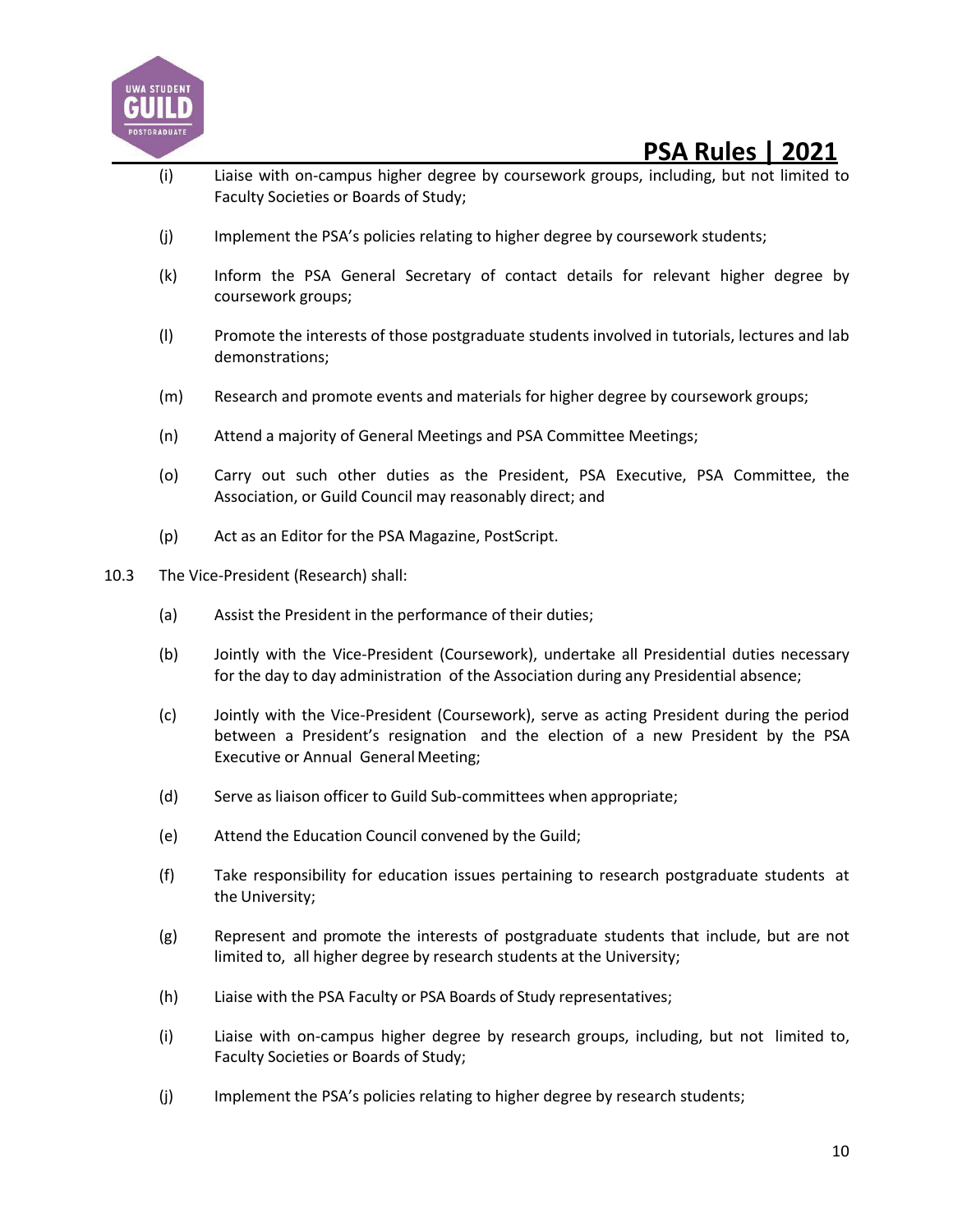![](_page_9_Picture_0.jpeg)

- (i) Liaise with on-campus higher degree by coursework groups, including, but not limited to Faculty Societies or Boards of Study;
- (j) Implement the PSA's policies relating to higher degree by coursework students;
- (k) Inform the PSA General Secretary of contact details for relevant higher degree by coursework groups;
- (l) Promote the interests of those postgraduate students involved in tutorials, lectures and lab demonstrations;
- (m) Research and promote events and materials for higher degree by coursework groups;
- (n) Attend a majority of General Meetings and PSA Committee Meetings;
- (o) Carry out such other duties as the President, PSA Executive, PSA Committee, the Association, or Guild Council may reasonably direct; and
- (p) Act as an Editor for the PSA Magazine, PostScript.
- 10.3 The Vice-President (Research) shall:
	- (a) Assist the President in the performance of their duties;
	- (b) Jointly with the Vice-President (Coursework), undertake all Presidential duties necessary for the day to day administration of the Association during any Presidential absence;
	- (c) Jointly with the Vice-President (Coursework), serve as acting President during the period between a President's resignation and the election of a new President by the PSA Executive or Annual General Meeting;
	- (d) Serve as liaison officer to Guild Sub-committees when appropriate;
	- (e) Attend the Education Council convened by the Guild;
	- (f) Take responsibility for education issues pertaining to research postgraduate students at the University;
	- (g) Represent and promote the interests of postgraduate students that include, but are not limited to, all higher degree by research students at the University;
	- (h) Liaise with the PSA Faculty or PSA Boards of Study representatives;
	- (i) Liaise with on-campus higher degree by research groups, including, but not limited to, Faculty Societies or Boards of Study;
	- (j) Implement the PSA's policies relating to higher degree by research students;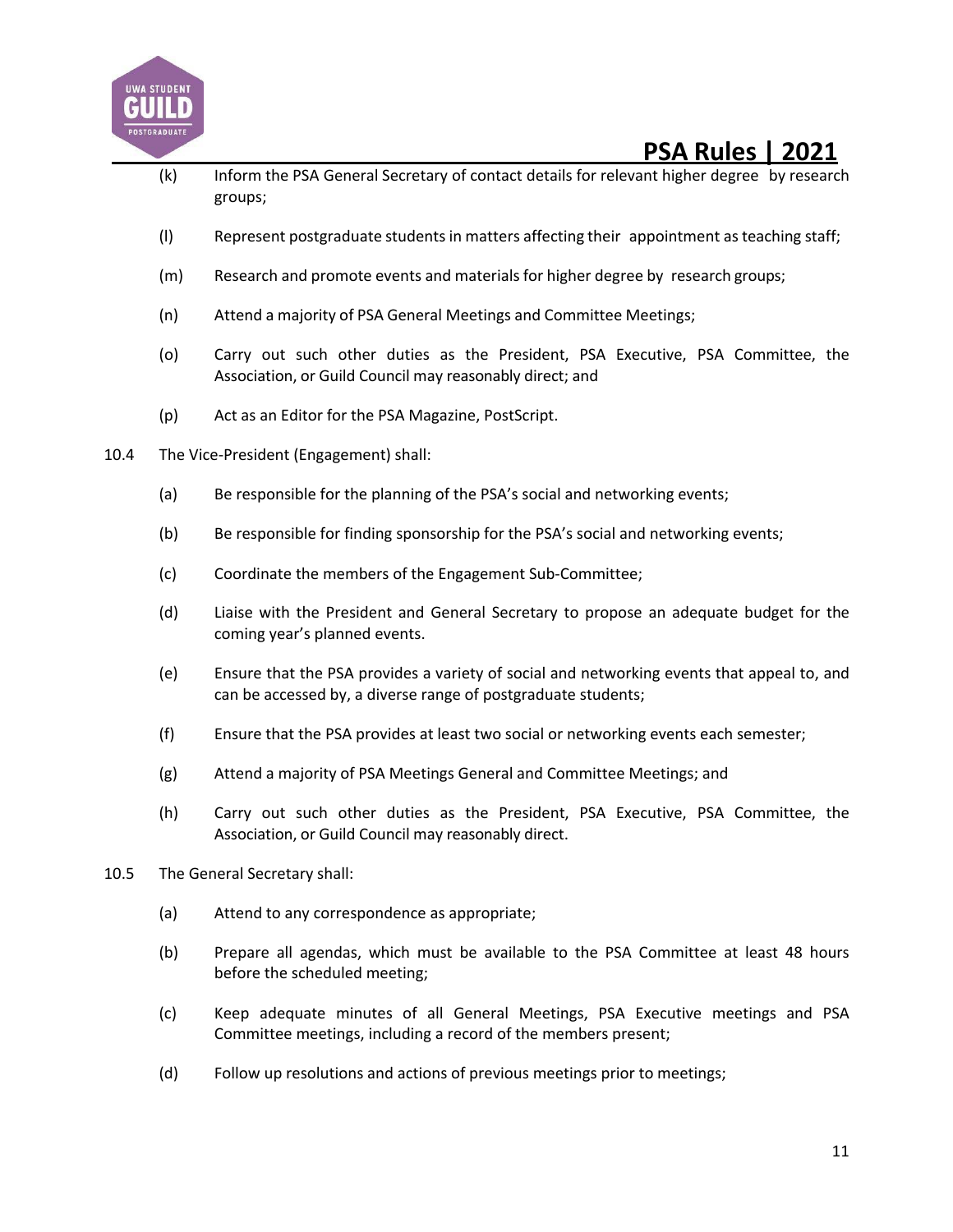![](_page_10_Picture_0.jpeg)

- (k) Inform the PSA General Secretary of contact details for relevant higher degree by research groups;
- (l) Represent postgraduate students in matters affecting their appointment as teaching staff;
- (m) Research and promote events and materialsfor higher degree by research groups;
- (n) Attend a majority of PSA General Meetings and Committee Meetings;
- (o) Carry out such other duties as the President, PSA Executive, PSA Committee, the Association, or Guild Council may reasonably direct; and
- (p) Act as an Editor for the PSA Magazine, PostScript.
- 10.4 The Vice-President (Engagement) shall:
	- (a) Be responsible for the planning of the PSA's social and networking events;
	- (b) Be responsible for finding sponsorship for the PSA's social and networking events;
	- (c) Coordinate the members of the Engagement Sub-Committee;
	- (d) Liaise with the President and General Secretary to propose an adequate budget for the coming year's planned events.
	- (e) Ensure that the PSA provides a variety of social and networking events that appeal to, and can be accessed by, a diverse range of postgraduate students;
	- (f) Ensure that the PSA provides at least two social or networking events each semester;
	- (g) Attend a majority of PSA Meetings General and Committee Meetings; and
	- (h) Carry out such other duties as the President, PSA Executive, PSA Committee, the Association, or Guild Council may reasonably direct.
- 10.5 The General Secretary shall:
	- (a) Attend to any correspondence as appropriate;
	- (b) Prepare all agendas, which must be available to the PSA Committee at least 48 hours before the scheduled meeting;
	- (c) Keep adequate minutes of all General Meetings, PSA Executive meetings and PSA Committee meetings, including a record of the members present;
	- (d) Follow up resolutions and actions of previous meetings prior to meetings;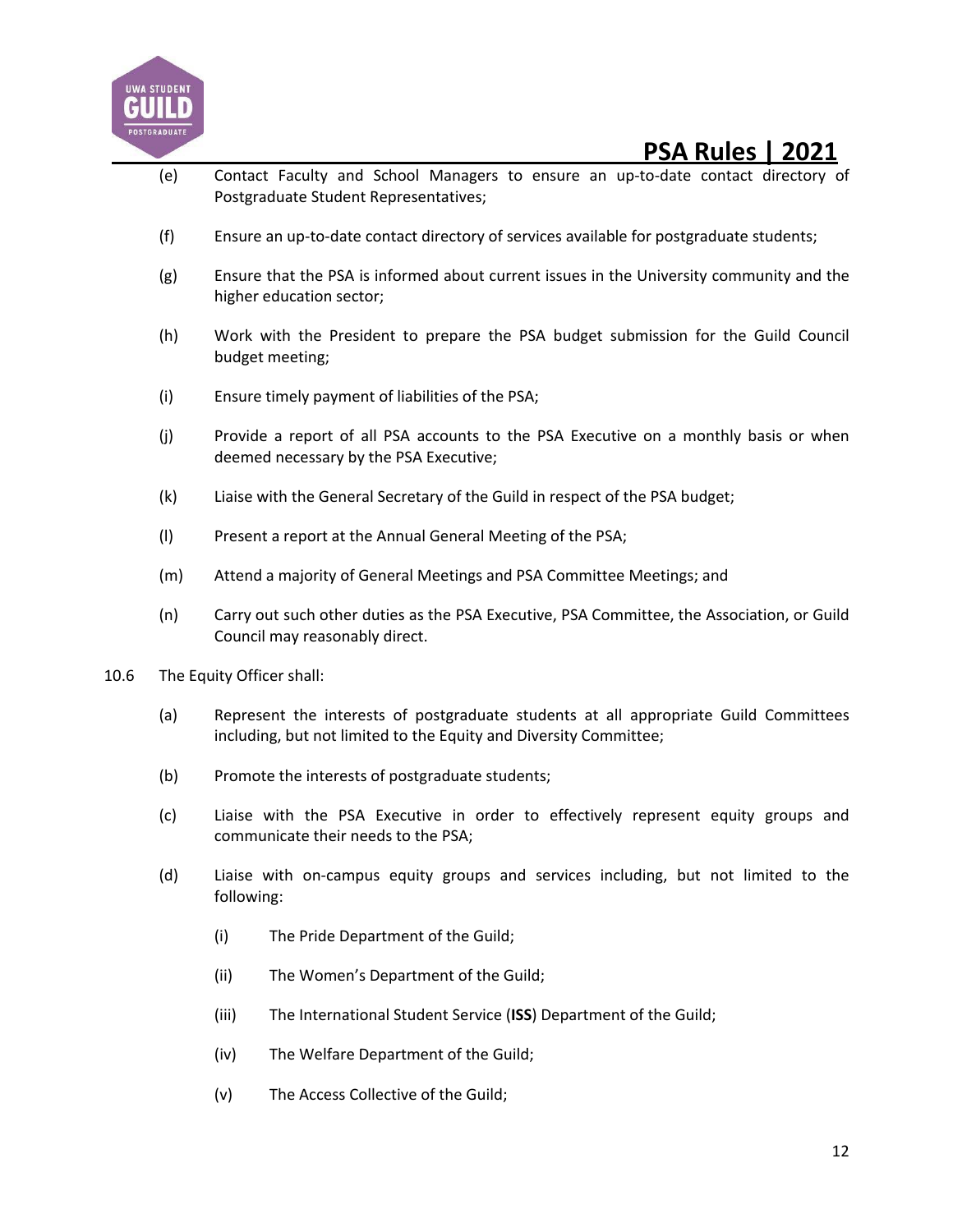![](_page_11_Picture_0.jpeg)

- (e) Contact Faculty and School Managers to ensure an up-to-date contact directory of Postgraduate Student Representatives;
- (f) Ensure an up-to-date contact directory of services available for postgraduate students;
- (g) Ensure that the PSA is informed about current issues in the University community and the higher education sector;
- (h) Work with the President to prepare the PSA budget submission for the Guild Council budget meeting;
- (i) Ensure timely payment of liabilities of the PSA;
- (j) Provide a report of all PSA accounts to the PSA Executive on a monthly basis or when deemed necessary by the PSA Executive;
- (k) Liaise with the General Secretary of the Guild in respect of the PSA budget;
- (l) Present a report at the Annual General Meeting of the PSA;
- (m) Attend a majority of General Meetings and PSA Committee Meetings; and
- (n) Carry out such other duties as the PSA Executive, PSA Committee, the Association, or Guild Council may reasonably direct.
- 10.6 The Equity Officer shall:
	- (a) Represent the interests of postgraduate students at all appropriate Guild Committees including, but not limited to the Equity and Diversity Committee;
	- (b) Promote the interests of postgraduate students;
	- (c) Liaise with the PSA Executive in order to effectively represent equity groups and communicate their needs to the PSA;
	- (d) Liaise with on-campus equity groups and services including, but not limited to the following:
		- (i) The Pride Department of the Guild;
		- (ii) The Women's Department of the Guild;
		- (iii) The International Student Service (**ISS**) Department of the Guild;
		- (iv) The Welfare Department of the Guild;
		- (v) The Access Collective of the Guild;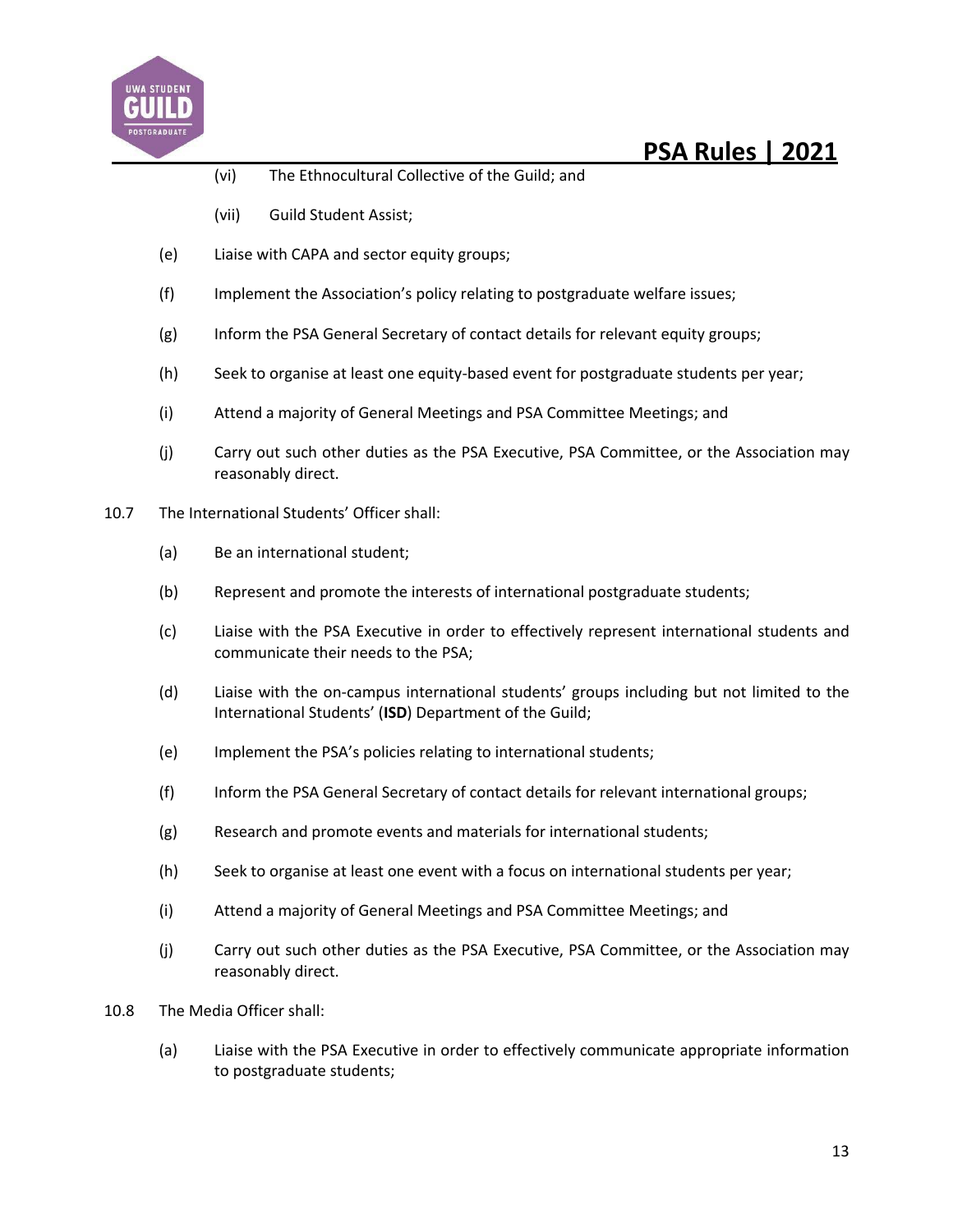![](_page_12_Picture_0.jpeg)

- (vi) The Ethnocultural Collective of the Guild; and
- (vii) Guild Student Assist;
- (e) Liaise with CAPA and sector equity groups;
- (f) Implement the Association's policy relating to postgraduate welfare issues;
- (g) Inform the PSA General Secretary of contact details for relevant equity groups;
- (h) Seek to organise at least one equity-based event for postgraduate students per year;
- (i) Attend a majority of General Meetings and PSA Committee Meetings; and
- (j) Carry out such other duties as the PSA Executive, PSA Committee, or the Association may reasonably direct.
- 10.7 The International Students' Officer shall:
	- (a) Be an international student;
	- (b) Represent and promote the interests of international postgraduate students;
	- (c) Liaise with the PSA Executive in order to effectively represent international students and communicate their needs to the PSA;
	- (d) Liaise with the on-campus international students' groups including but not limited to the International Students' (**ISD**) Department of the Guild;
	- (e) Implement the PSA's policies relating to international students;
	- (f) Inform the PSA General Secretary of contact details for relevant international groups;
	- (g) Research and promote events and materials for international students;
	- (h) Seek to organise at least one event with a focus on international students per year;
	- (i) Attend a majority of General Meetings and PSA Committee Meetings; and
	- (j) Carry out such other duties as the PSA Executive, PSA Committee, or the Association may reasonably direct.
- 10.8 The Media Officer shall:
	- (a) Liaise with the PSA Executive in order to effectively communicate appropriate information to postgraduate students;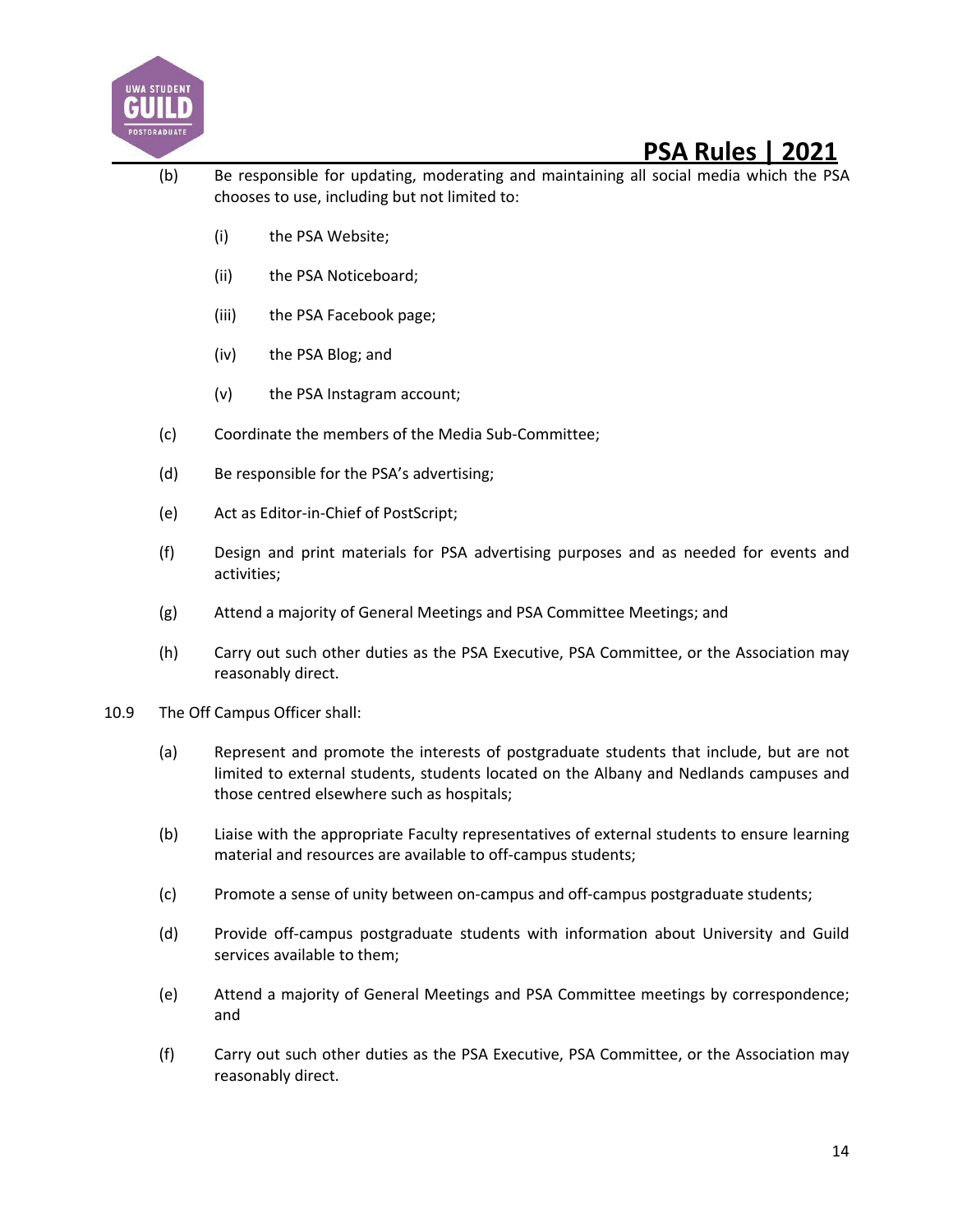![](_page_13_Picture_0.jpeg)

- (b) Be responsible for updating, moderating and maintaining all social media which the PSA chooses to use, including but not limited to:
	- (i) the PSA Website;
	- (ii) the PSA Noticeboard;
	- (iii) the PSA Facebook page;
	- (iv) the PSA Blog; and
	- (v) the PSA Instagram account;
- (c) Coordinate the members of the Media Sub-Committee;
- (d) Be responsible for the PSA's advertising;
- (e) Act as Editor-in-Chief of PostScript;
- (f) Design and print materials for PSA advertising purposes and as needed for events and activities;
- (g) Attend a majority of General Meetings and PSA Committee Meetings; and
- (h) Carry out such other duties as the PSA Executive, PSA Committee, or the Association may reasonably direct.
- 10.9 The Off Campus Officer shall:
	- (a) Represent and promote the interests of postgraduate students that include, but are not limited to external students, students located on the Albany and Nedlands campuses and those centred elsewhere such as hospitals;
	- (b) Liaise with the appropriate Faculty representatives of external students to ensure learning material and resources are available to off-campus students;
	- (c) Promote a sense of unity between on-campus and off-campus postgraduate students;
	- (d) Provide off-campus postgraduate students with information about University and Guild services available to them;
	- (e) Attend a majority of General Meetings and PSA Committee meetings by correspondence; and
	- (f) Carry out such other duties as the PSA Executive, PSA Committee, or the Association may reasonably direct.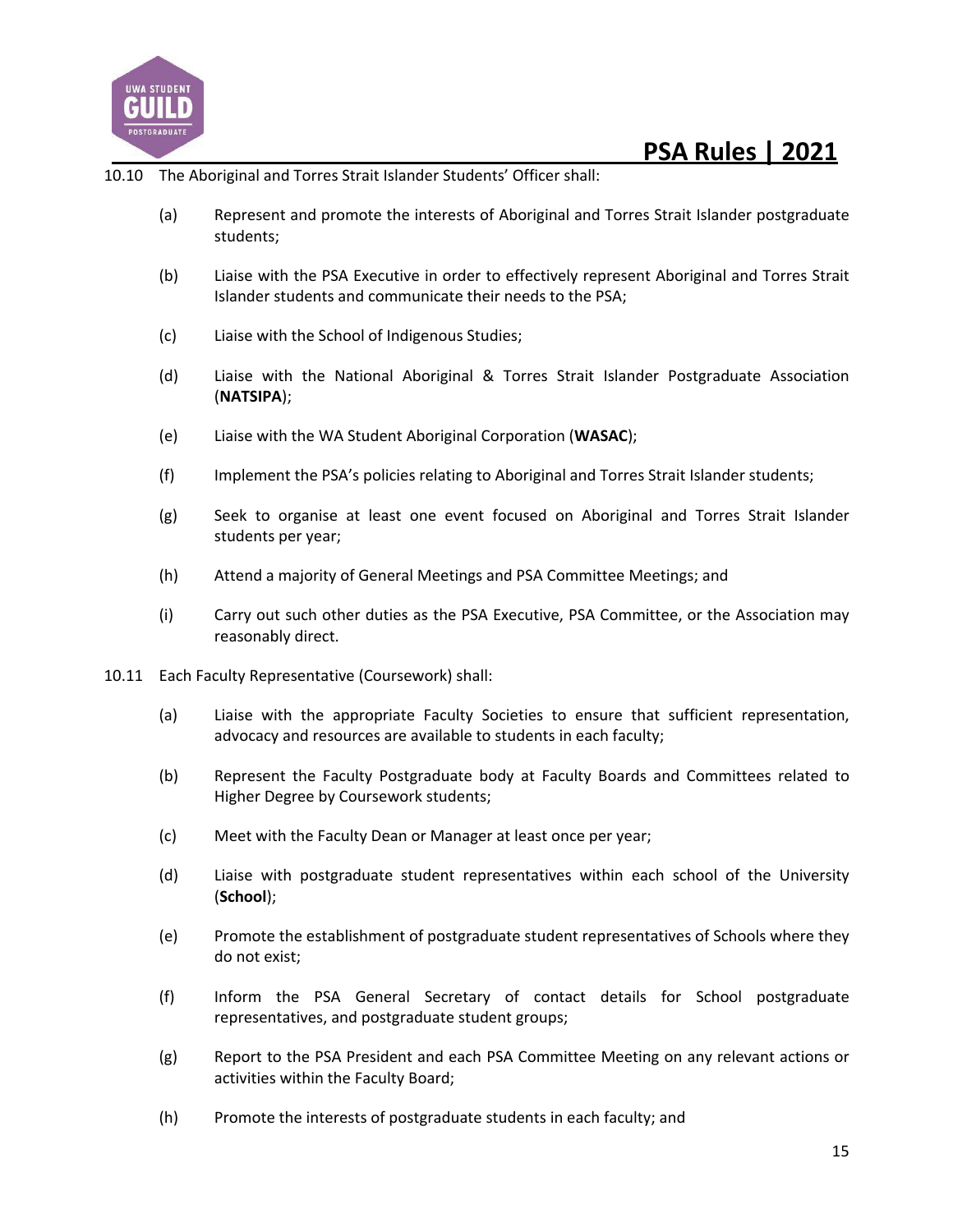![](_page_14_Picture_0.jpeg)

- 10.10 The Aboriginal and Torres Strait Islander Students' Officer shall:
	- (a) Represent and promote the interests of Aboriginal and Torres Strait Islander postgraduate students;
	- (b) Liaise with the PSA Executive in order to effectively represent Aboriginal and Torres Strait Islander students and communicate their needs to the PSA;
	- (c) Liaise with the School of Indigenous Studies;
	- (d) Liaise with the National Aboriginal & Torres Strait Islander Postgraduate Association (**NATSIPA**);
	- (e) Liaise with the WA Student Aboriginal Corporation (**WASAC**);
	- (f) Implement the PSA's policies relating to Aboriginal and Torres Strait Islander students;
	- (g) Seek to organise at least one event focused on Aboriginal and Torres Strait Islander students per year;
	- (h) Attend a majority of General Meetings and PSA Committee Meetings; and
	- (i) Carry out such other duties as the PSA Executive, PSA Committee, or the Association may reasonably direct.
- 10.11 Each Faculty Representative (Coursework) shall:
	- (a) Liaise with the appropriate Faculty Societies to ensure that sufficient representation, advocacy and resources are available to students in each faculty;
	- (b) Represent the Faculty Postgraduate body at Faculty Boards and Committees related to Higher Degree by Coursework students;
	- (c) Meet with the Faculty Dean or Manager at least once per year;
	- (d) Liaise with postgraduate student representatives within each school of the University (**School**);
	- (e) Promote the establishment of postgraduate student representatives of Schools where they do not exist;
	- (f) Inform the PSA General Secretary of contact details for School postgraduate representatives, and postgraduate student groups;
	- (g) Report to the PSA President and each PSA Committee Meeting on any relevant actions or activities within the Faculty Board;
	- (h) Promote the interests of postgraduate students in each faculty; and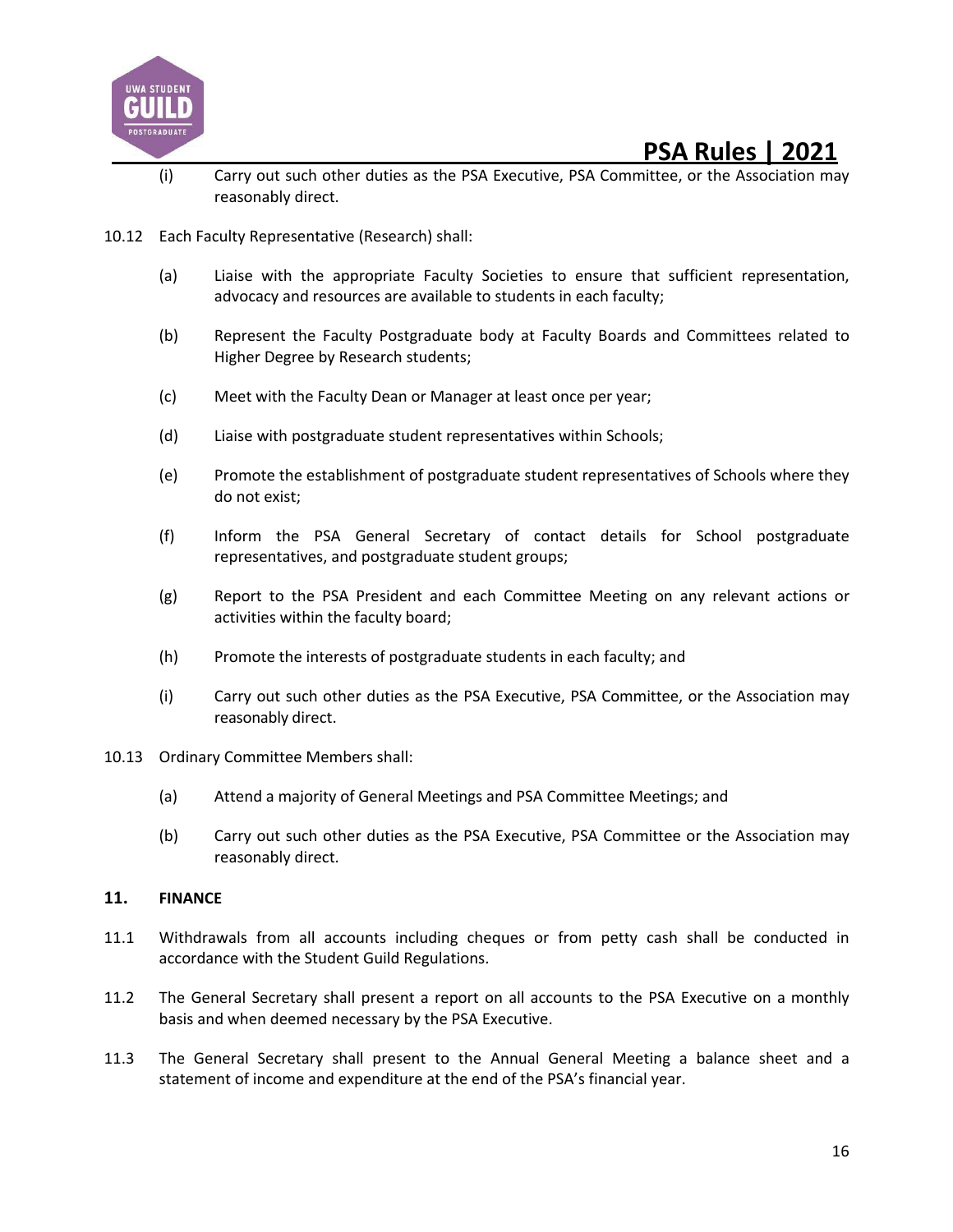![](_page_15_Picture_0.jpeg)

- (i) Carry out such other duties as the PSA Executive, PSA Committee, or the Association may reasonably direct.
- 10.12 Each Faculty Representative (Research) shall:
	- (a) Liaise with the appropriate Faculty Societies to ensure that sufficient representation, advocacy and resources are available to students in each faculty;
	- (b) Represent the Faculty Postgraduate body at Faculty Boards and Committees related to Higher Degree by Research students;
	- (c) Meet with the Faculty Dean or Manager at least once per year;
	- (d) Liaise with postgraduate student representatives within Schools;
	- (e) Promote the establishment of postgraduate student representatives of Schools where they do not exist;
	- (f) Inform the PSA General Secretary of contact details for School postgraduate representatives, and postgraduate student groups;
	- (g) Report to the PSA President and each Committee Meeting on any relevant actions or activities within the faculty board;
	- (h) Promote the interests of postgraduate students in each faculty; and
	- (i) Carry out such other duties as the PSA Executive, PSA Committee, or the Association may reasonably direct.
- 10.13 Ordinary Committee Members shall:
	- (a) Attend a majority of General Meetings and PSA Committee Meetings; and
	- (b) Carry out such other duties as the PSA Executive, PSA Committee or the Association may reasonably direct.

#### **11. FINANCE**

- 11.1 Withdrawals from all accounts including cheques or from petty cash shall be conducted in accordance with the Student Guild Regulations.
- 11.2 The General Secretary shall present a report on all accounts to the PSA Executive on a monthly basis and when deemed necessary by the PSA Executive.
- 11.3 The General Secretary shall present to the Annual General Meeting a balance sheet and a statement of income and expenditure at the end of the PSA's financial year.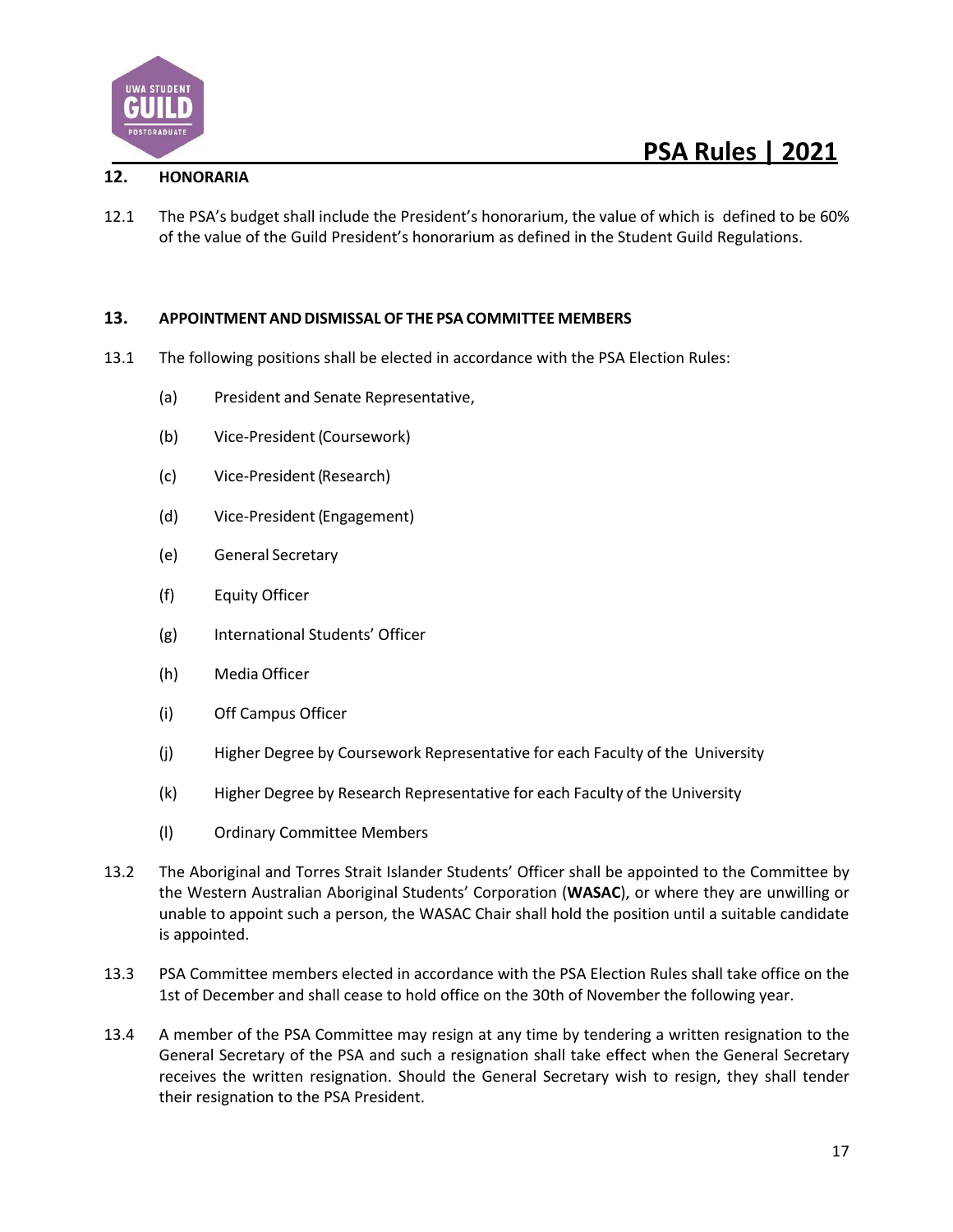![](_page_16_Picture_0.jpeg)

### **12. HONORARIA**

12.1 The PSA's budget shall include the President's honorarium, the value of which is defined to be 60% of the value of the Guild President's honorarium as defined in the Student Guild Regulations.

#### **13. APPOINTMENT ANDDISMISSAL OF THE PSA COMMITTEE MEMBERS**

- 13.1 The following positions shall be elected in accordance with the PSA Election Rules:
	- (a) President and Senate Representative,
	- (b) Vice-President (Coursework)
	- (c) Vice-President(Research)
	- (d) Vice-President(Engagement)
	- (e) General Secretary
	- (f) Equity Officer
	- (g) International Students' Officer
	- (h) Media Officer
	- (i) Off Campus Officer
	- (j) Higher Degree by Coursework Representative for each Faculty of the University
	- (k) Higher Degree by Research Representative for each Faculty of the University
	- (l) Ordinary Committee Members
- 13.2 The Aboriginal and Torres Strait Islander Students' Officer shall be appointed to the Committee by the Western Australian Aboriginal Students' Corporation (**WASAC**), or where they are unwilling or unable to appoint such a person, the WASAC Chair shall hold the position until a suitable candidate is appointed.
- 13.3 PSA Committee members elected in accordance with the PSA Election Rules shall take office on the 1st of December and shall cease to hold office on the 30th of November the following year.
- 13.4 A member of the PSA Committee may resign at any time by tendering a written resignation to the General Secretary of the PSA and such a resignation shall take effect when the General Secretary receives the written resignation. Should the General Secretary wish to resign, they shall tender their resignation to the PSA President.